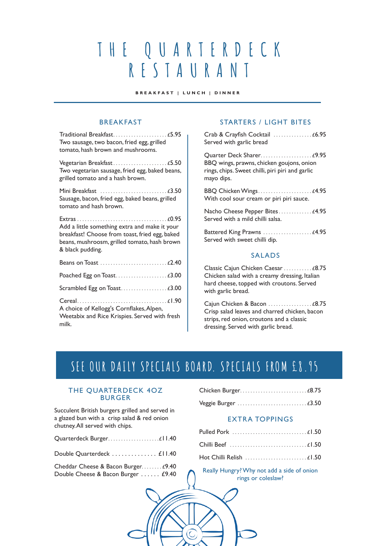# **THE QUARTERDECK RESTAURANT**

**B R E A K F A S T | L U N C H | D I N N E R** 

#### BREAKFAST

| Two sausage, two bacon, fried egg, grilled<br>tomato, hash brown and mushrooms.                                                                                     |
|---------------------------------------------------------------------------------------------------------------------------------------------------------------------|
| Two vegetarian sausage, fried egg, baked beans,<br>grilled tomato and a hash brown.                                                                                 |
| Sausage, bacon, fried egg, baked beans, grilled<br>tomato and hash brown.                                                                                           |
| Add a little something extra and make it your<br>breakfast! Choose from toast, fried egg, baked<br>beans, mushroosm, grilled tomato, hash brown<br>& black pudding. |
|                                                                                                                                                                     |
|                                                                                                                                                                     |
|                                                                                                                                                                     |
| A choice of Kellogg's Cornflakes, Alpen,<br>Weetabix and Rice Krispies. Served with fresh<br>milk.                                                                  |

#### STARTERS / LIGHT BITES

| Served with garlic bread                                                                                    |
|-------------------------------------------------------------------------------------------------------------|
| BBQ wings, prawns, chicken goujons, onion<br>rings, chips. Sweet chilli, piri piri and garlic<br>mayo dips. |
| With cool sour cream or piri piri sauce.                                                                    |
| Nacho Cheese Pepper Bites £4.95<br>Served with a mild chilli salsa.                                         |
| Served with sweet chilli dip.                                                                               |
| <b>SALADS</b>                                                                                               |
| Classic Cajun Chicken Caesar  £8.75                                                                         |

Chicken salad with a creamy dressing, Italian hard cheese, topped with croutons. Served with garlic bread.

Caiun Chicken & Bacon . . . . . . . . . . . . . . . . £8.75 Crisp salad leaves and charred chicken, bacon strips, red onion, croutons and a classic dressing. Served with garlic bread.

## SEE OUR DAILY SPECIALS BOARD. SPECIALS FROM £8.95

#### THE QUARTERDECK 4OZ BURGER

| Succulent British burgers grilled and served in |
|-------------------------------------------------|
| a glazed bun with a crisp salad & red onion     |
| chutney. All served with chips.                 |

| Dankla Quantanda ali | 1111 |
|----------------------|------|

| Double Quarterdeck £11.40 |  |  |  |  |  |  |  |  |  |
|---------------------------|--|--|--|--|--|--|--|--|--|
|                           |  |  |  |  |  |  |  |  |  |

| Cheddar Cheese & Bacon Burger £9.40 |  |
|-------------------------------------|--|
| Double Cheese & Bacon Burger  £9.40 |  |

#### EXTRA TOPPINGS

| Hot Chilli Relish  £1.50 |  |
|--------------------------|--|

Really Hungry? Why not add a side of onion rings or coleslaw?